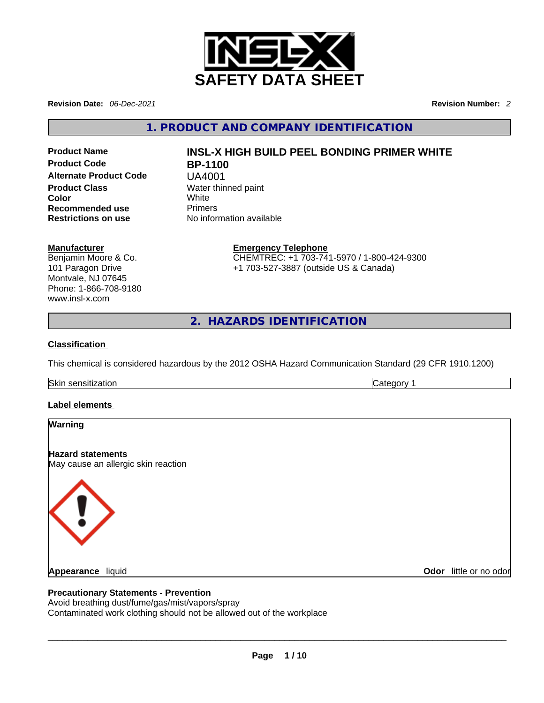

**Revision Date:** *06-Dec-2021* **Revision Number:** *2*

**1. PRODUCT AND COMPANY IDENTIFICATION** 

**Product Code BP-1100 Alternate Product Code** UA4001 **Product Class Water thinned paint Color** White **Recommended use** Primers **Restrictions on use** No information available

# **Product Name INSL-X HIGH BUILD PEEL BONDING PRIMER WHITE**

#### **Manufacturer**

Benjamin Moore & Co. 101 Paragon Drive Montvale, NJ 07645 Phone: 1-866-708-9180 www.insl-x.com

**Emergency Telephone** CHEMTREC: +1 703-741-5970 / 1-800-424-9300 +1 703-527-3887 (outside US & Canada)

**2. HAZARDS IDENTIFICATION** 

#### **Classification**

This chemical is considered hazardous by the 2012 OSHA Hazard Communication Standard (29 CFR 1910.1200)

Skin sensitization **Category 1 Category 1** 

#### **Label elements**

| Warning                                                                                                                                                                  |                        |
|--------------------------------------------------------------------------------------------------------------------------------------------------------------------------|------------------------|
| <b>Hazard statements</b><br>May cause an allergic skin reaction                                                                                                          |                        |
| $\langle \cdot \rangle$                                                                                                                                                  |                        |
| <b>Appearance liquid</b>                                                                                                                                                 | Odor little or no odor |
| <b>Precautionary Statements - Prevention</b><br>Avoid breathing dust/fume/gas/mist/vapors/spray<br>Contaminated work clothing should not be allowed out of the workplace |                        |
|                                                                                                                                                                          |                        |

#### **Precautionary Statements - Prevention**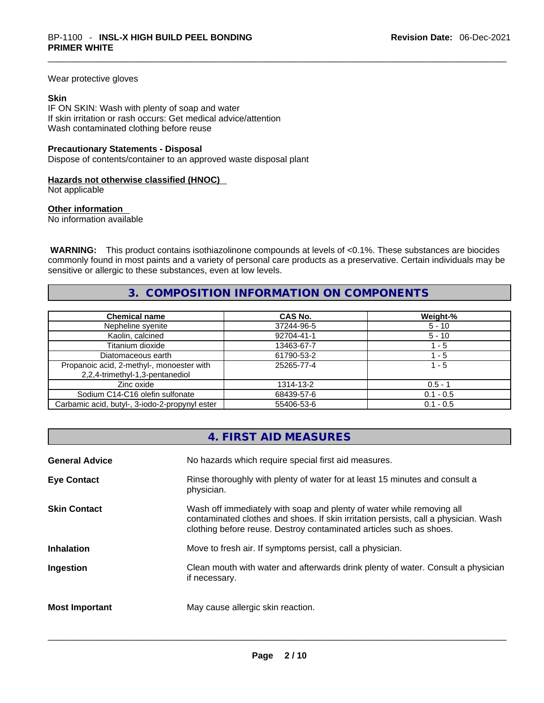Wear protective gloves

#### **Skin**

IF ON SKIN: Wash with plenty of soap and water If skin irritation or rash occurs: Get medical advice/attention Wash contaminated clothing before reuse

#### **Precautionary Statements - Disposal**

Dispose of contents/container to an approved waste disposal plant

#### **Hazards not otherwise classified (HNOC)**

Not applicable

#### **Other information**

No information available

 **WARNING:** This product contains isothiazolinone compounds at levels of <0.1%. These substances are biocides commonly found in most paints and a variety of personal care products as a preservative. Certain individuals may be sensitive or allergic to these substances, even at low levels.

## **3. COMPOSITION INFORMATION ON COMPONENTS**

| <b>Chemical name</b>                                                         | <b>CAS No.</b> | Weight-%    |
|------------------------------------------------------------------------------|----------------|-------------|
| Nepheline syenite                                                            | 37244-96-5     | $5 - 10$    |
| Kaolin, calcined                                                             | 92704-41-1     | $5 - 10$    |
| Titanium dioxide                                                             | 13463-67-7     | $-5$        |
| Diatomaceous earth                                                           | 61790-53-2     | - 5         |
| Propanoic acid, 2-methyl-, monoester with<br>2,2,4-trimethyl-1,3-pentanediol | 25265-77-4     | $1 - 5$     |
| Zinc oxide                                                                   | 1314-13-2      | $0.5 - 1$   |
| Sodium C14-C16 olefin sulfonate                                              | 68439-57-6     | $0.1 - 0.5$ |
| Carbamic acid, butyl-, 3-iodo-2-propynyl ester                               | 55406-53-6     | $0.1 - 0.5$ |

# **4. FIRST AID MEASURES**

| <b>General Advice</b> | No hazards which require special first aid measures.                                                                                                                                                                                |
|-----------------------|-------------------------------------------------------------------------------------------------------------------------------------------------------------------------------------------------------------------------------------|
| <b>Eye Contact</b>    | Rinse thoroughly with plenty of water for at least 15 minutes and consult a<br>physician.                                                                                                                                           |
| <b>Skin Contact</b>   | Wash off immediately with soap and plenty of water while removing all<br>contaminated clothes and shoes. If skin irritation persists, call a physician. Wash<br>clothing before reuse. Destroy contaminated articles such as shoes. |
| <b>Inhalation</b>     | Move to fresh air. If symptoms persist, call a physician.                                                                                                                                                                           |
| Ingestion             | Clean mouth with water and afterwards drink plenty of water. Consult a physician<br>if necessary.                                                                                                                                   |
| <b>Most Important</b> | May cause allergic skin reaction.                                                                                                                                                                                                   |
|                       |                                                                                                                                                                                                                                     |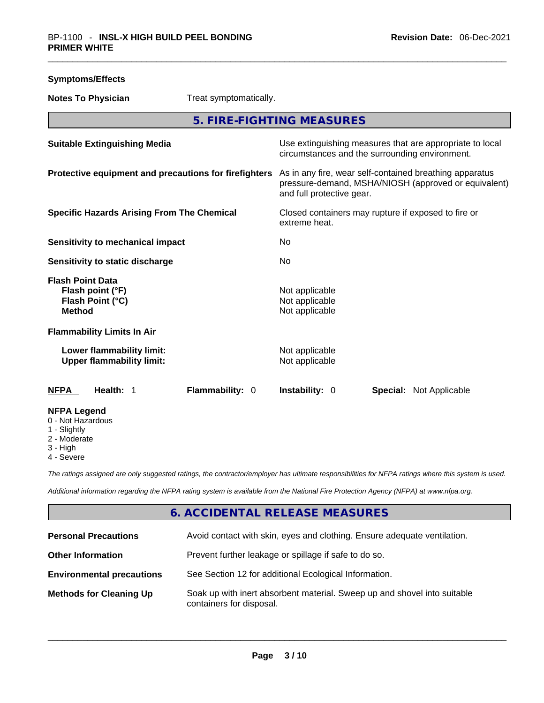| <b>Symptoms/Effects</b>                                                                    |                                                                                                                                              |
|--------------------------------------------------------------------------------------------|----------------------------------------------------------------------------------------------------------------------------------------------|
| <b>Notes To Physician</b><br>Treat symptomatically.                                        |                                                                                                                                              |
|                                                                                            | 5. FIRE-FIGHTING MEASURES                                                                                                                    |
| <b>Suitable Extinguishing Media</b>                                                        | Use extinguishing measures that are appropriate to local<br>circumstances and the surrounding environment.                                   |
| Protective equipment and precautions for firefighters                                      | As in any fire, wear self-contained breathing apparatus<br>pressure-demand, MSHA/NIOSH (approved or equivalent)<br>and full protective gear. |
| <b>Specific Hazards Arising From The Chemical</b>                                          | Closed containers may rupture if exposed to fire or<br>extreme heat.                                                                         |
| <b>Sensitivity to mechanical impact</b>                                                    | No.                                                                                                                                          |
| Sensitivity to static discharge                                                            | No                                                                                                                                           |
| <b>Flash Point Data</b><br>Flash point (°F)<br>Flash Point (°C)<br><b>Method</b>           | Not applicable<br>Not applicable<br>Not applicable                                                                                           |
| <b>Flammability Limits In Air</b>                                                          |                                                                                                                                              |
| Lower flammability limit:<br><b>Upper flammability limit:</b>                              | Not applicable<br>Not applicable                                                                                                             |
| Flammability: 0<br><b>NFPA</b><br>Health: 1                                                | <b>Instability: 0</b><br><b>Special: Not Applicable</b>                                                                                      |
| <b>NFPA Legend</b><br>0 - Not Hazardous<br>1 - Slightly<br>2 - Moderate<br>$\Omega = 1.13$ |                                                                                                                                              |

- 3 High
- 4 Severe

*The ratings assigned are only suggested ratings, the contractor/employer has ultimate responsibilities for NFPA ratings where this system is used.* 

*Additional information regarding the NFPA rating system is available from the National Fire Protection Agency (NFPA) at www.nfpa.org.* 

# **6. ACCIDENTAL RELEASE MEASURES**

| <b>Personal Precautions</b>      | Avoid contact with skin, eyes and clothing. Ensure adequate ventilation.                             |
|----------------------------------|------------------------------------------------------------------------------------------------------|
| <b>Other Information</b>         | Prevent further leakage or spillage if safe to do so.                                                |
| <b>Environmental precautions</b> | See Section 12 for additional Ecological Information.                                                |
| <b>Methods for Cleaning Up</b>   | Soak up with inert absorbent material. Sweep up and shovel into suitable<br>containers for disposal. |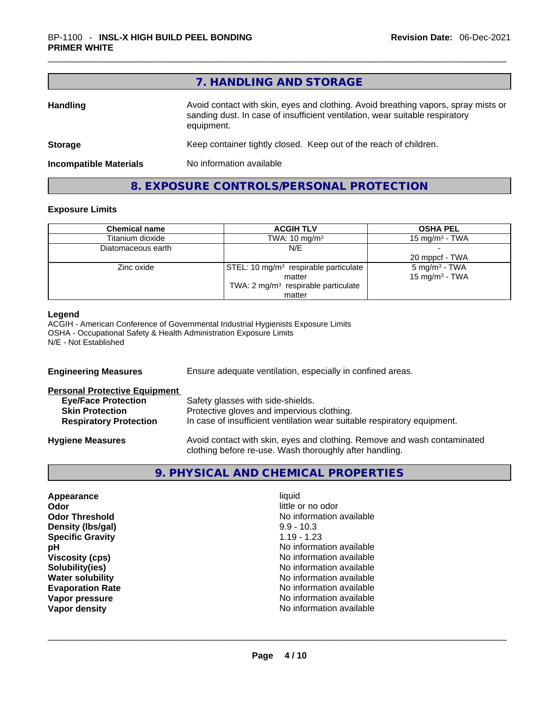|                               | 7. HANDLING AND STORAGE                                                                                                                                                          |
|-------------------------------|----------------------------------------------------------------------------------------------------------------------------------------------------------------------------------|
| <b>Handling</b>               | Avoid contact with skin, eyes and clothing. Avoid breathing vapors, spray mists or<br>sanding dust. In case of insufficient ventilation, wear suitable respiratory<br>equipment. |
| <b>Storage</b>                | Keep container tightly closed. Keep out of the reach of children.                                                                                                                |
| <b>Incompatible Materials</b> | No information available                                                                                                                                                         |

**8. EXPOSURE CONTROLS/PERSONAL PROTECTION** 

#### **Exposure Limits**

| <b>Chemical name</b> | <b>ACGIH TLV</b>                                  | <b>OSHA PEL</b>          |
|----------------------|---------------------------------------------------|--------------------------|
| Titanium dioxide     | TWA: $10 \text{ mg/m}^3$                          | 15 mg/m $3$ - TWA        |
| Diatomaceous earth   | N/E                                               |                          |
|                      |                                                   | 20 mppcf - TWA           |
| Zinc oxide           | STEL: 10 mg/m <sup>3</sup> respirable particulate | $5 \text{ mg/m}^3$ - TWA |
|                      | matter                                            | 15 mg/m $3$ - TWA        |
|                      | TWA: 2 mg/m <sup>3</sup> respirable particulate   |                          |
|                      | matter                                            |                          |

#### **Legend**

ACGIH - American Conference of Governmental Industrial Hygienists Exposure Limits OSHA - Occupational Safety & Health Administration Exposure Limits N/E - Not Established

| <b>Engineering Measures</b>                                                                                                   | Ensure adequate ventilation, especially in confined areas.                                                                                                  |
|-------------------------------------------------------------------------------------------------------------------------------|-------------------------------------------------------------------------------------------------------------------------------------------------------------|
| <b>Personal Protective Equipment</b><br><b>Eye/Face Protection</b><br><b>Skin Protection</b><br><b>Respiratory Protection</b> | Safety glasses with side-shields.<br>Protective gloves and impervious clothing.<br>In case of insufficient ventilation wear suitable respiratory equipment. |
| <b>Hygiene Measures</b>                                                                                                       | Avoid contact with skin, eyes and clothing. Remove and wash contaminated<br>clothing before re-use. Wash thoroughly after handling.                         |

# **9. PHYSICAL AND CHEMICAL PROPERTIES**

| Appearance              | liquid            |  |
|-------------------------|-------------------|--|
| Odor                    | little or no odor |  |
| <b>Odor Threshold</b>   | No information av |  |
| Density (Ibs/gal)       | $9.9 - 10.3$      |  |
| <b>Specific Gravity</b> | $1.19 - 1.23$     |  |
| рH                      | No information av |  |
| <b>Viscosity (cps)</b>  | No information av |  |
| Solubility(ies)         | No information av |  |
| <b>Water solubility</b> | No information av |  |
| <b>Evaporation Rate</b> | No information av |  |
| Vapor pressure          | No information av |  |
| Vapor density           | No information av |  |

**Odor** little or no odor **No information available Density (lbs/gal)** 9.9 - 10.3 **Specific Gravity** 1.19 - 1.23 **No information available Viscosity (cps)** No information available **No information available No information available Evaporation Rate** No information available No information available<br>No information available **Vapor density** No information available \_\_\_\_\_\_\_\_\_\_\_\_\_\_\_\_\_\_\_\_\_\_\_\_\_\_\_\_\_\_\_\_\_\_\_\_\_\_\_\_\_\_\_\_\_\_\_\_\_\_\_\_\_\_\_\_\_\_\_\_\_\_\_\_\_\_\_\_\_\_\_\_\_\_\_\_\_\_\_\_\_\_\_\_\_\_\_\_\_\_\_\_\_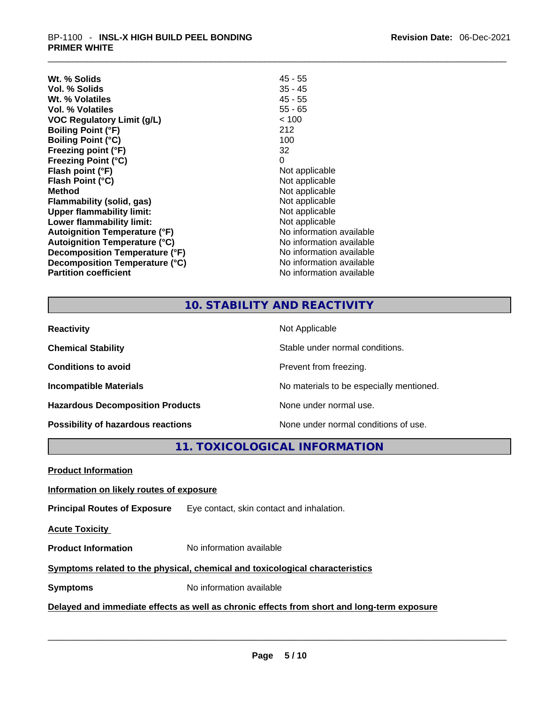| Wt. % Solids                         | 45 - 55                  |
|--------------------------------------|--------------------------|
| Vol. % Solids                        | $35 - 45$                |
| Wt. % Volatiles                      | $45 - 55$                |
| Vol. % Volatiles                     | $55 - 65$                |
| <b>VOC Regulatory Limit (g/L)</b>    | < 100                    |
| <b>Boiling Point (°F)</b>            | 212                      |
| <b>Boiling Point (°C)</b>            | 100                      |
| Freezing point (°F)                  | 32                       |
| <b>Freezing Point (°C)</b>           | 0                        |
| Flash point (°F)                     | Not applicable           |
| Flash Point (°C)                     | Not applicable           |
| <b>Method</b>                        | Not applicable           |
| <b>Flammability (solid, gas)</b>     | Not applicable           |
| <b>Upper flammability limit:</b>     | Not applicable           |
| Lower flammability limit:            | Not applicable           |
| <b>Autoignition Temperature (°F)</b> | No information available |
| <b>Autoignition Temperature (°C)</b> | No information available |
| Decomposition Temperature (°F)       | No information available |
| Decomposition Temperature (°C)       | No information available |
| <b>Partition coefficient</b>         | No information available |

# **10. STABILITY AND REACTIVITY**

| <b>Reactivity</b>                       | Not Applicable                           |
|-----------------------------------------|------------------------------------------|
| <b>Chemical Stability</b>               | Stable under normal conditions.          |
| <b>Conditions to avoid</b>              | Prevent from freezing.                   |
| <b>Incompatible Materials</b>           | No materials to be especially mentioned. |
| <b>Hazardous Decomposition Products</b> | None under normal use.                   |
| Possibility of hazardous reactions      | None under normal conditions of use.     |

# **11. TOXICOLOGICAL INFORMATION**

| <b>Product Information</b>                                                                 |                                           |  |
|--------------------------------------------------------------------------------------------|-------------------------------------------|--|
| Information on likely routes of exposure                                                   |                                           |  |
| <b>Principal Routes of Exposure</b>                                                        | Eye contact, skin contact and inhalation. |  |
| <b>Acute Toxicity</b>                                                                      |                                           |  |
| <b>Product Information</b>                                                                 | No information available                  |  |
| Symptoms related to the physical, chemical and toxicological characteristics               |                                           |  |
| <b>Symptoms</b>                                                                            | No information available                  |  |
| Delayed and immediate effects as well as chronic effects from short and long-term exposure |                                           |  |
|                                                                                            |                                           |  |
|                                                                                            |                                           |  |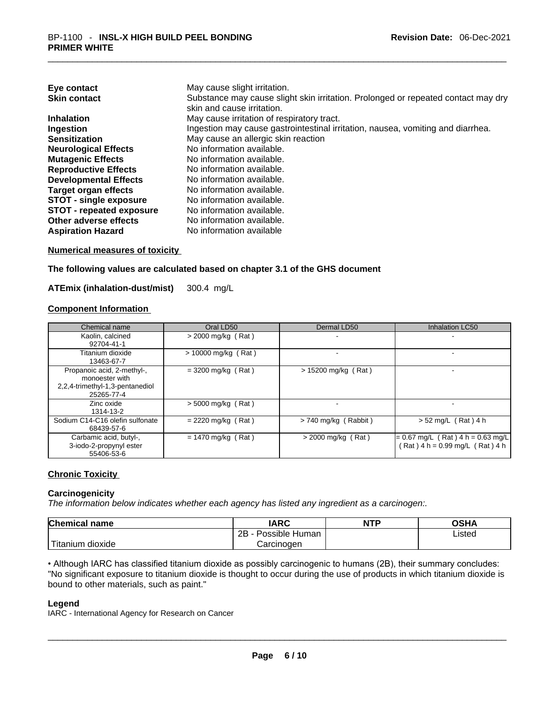| Eye contact                     | May cause slight irritation.                                                                                    |
|---------------------------------|-----------------------------------------------------------------------------------------------------------------|
| <b>Skin contact</b>             | Substance may cause slight skin irritation. Prolonged or repeated contact may dry<br>skin and cause irritation. |
| <b>Inhalation</b>               | May cause irritation of respiratory tract.                                                                      |
| Ingestion                       | Ingestion may cause gastrointestinal irritation, nausea, vomiting and diarrhea.                                 |
| <b>Sensitization</b>            | May cause an allergic skin reaction                                                                             |
| <b>Neurological Effects</b>     | No information available.                                                                                       |
| <b>Mutagenic Effects</b>        | No information available.                                                                                       |
| <b>Reproductive Effects</b>     | No information available.                                                                                       |
| <b>Developmental Effects</b>    | No information available.                                                                                       |
| Target organ effects            | No information available.                                                                                       |
| <b>STOT - single exposure</b>   | No information available.                                                                                       |
| <b>STOT - repeated exposure</b> | No information available.                                                                                       |
| Other adverse effects           | No information available.                                                                                       |
| <b>Aspiration Hazard</b>        | No information available                                                                                        |

**Numerical measures of toxicity**

**The following values are calculated based on chapter 3.1 of the GHS document**

**ATEmix (inhalation-dust/mist)** 300.4 mg/L

#### **Component Information**

| Chemical name                                                                                 | Oral LD50             | Dermal LD50            | Inhalation LC50                                                           |
|-----------------------------------------------------------------------------------------------|-----------------------|------------------------|---------------------------------------------------------------------------|
| Kaolin, calcined<br>92704-41-1                                                                | $>$ 2000 mg/kg (Rat)  |                        |                                                                           |
| Titanium dioxide<br>13463-67-7                                                                | $> 10000$ mg/kg (Rat) |                        |                                                                           |
| Propanoic acid, 2-methyl-,<br>monoester with<br>2,2,4-trimethyl-1,3-pentanediol<br>25265-77-4 | $= 3200$ mg/kg (Rat)  | $> 15200$ mg/kg (Rat)  |                                                                           |
| Zinc oxide<br>1314-13-2                                                                       | $>$ 5000 mg/kg (Rat)  |                        |                                                                           |
| Sodium C14-C16 olefin sulfonate<br>68439-57-6                                                 | $= 2220$ mg/kg (Rat)  | $> 740$ mg/kg (Rabbit) | $> 52$ mg/L (Rat) 4 h                                                     |
| Carbamic acid, butyl-,<br>3-iodo-2-propynyl ester<br>55406-53-6                               | $= 1470$ mg/kg (Rat)  | $>$ 2000 mg/kg (Rat)   | $= 0.67$ mg/L (Rat) 4 h = 0.63 mg/L<br>Rat $) 4 h = 0.99$ mg/L (Rat ) 4 h |

#### **Chronic Toxicity**

#### **Carcinogenicity**

*The information below indicates whether each agency has listed any ingredient as a carcinogen:.* 

| <b>Chemical name</b> | IARC                 | <b>NTP</b> | OSHA   |
|----------------------|----------------------|------------|--------|
|                      | 2B<br>Possible Human |            | ∟isted |
| Titanium<br>dioxide  | Carcinogen           |            |        |

• Although IARC has classified titanium dioxide as possibly carcinogenic to humans (2B), their summary concludes: "No significant exposure to titanium dioxide is thought to occur during the use of products in which titanium dioxide is bound to other materials, such as paint." \_\_\_\_\_\_\_\_\_\_\_\_\_\_\_\_\_\_\_\_\_\_\_\_\_\_\_\_\_\_\_\_\_\_\_\_\_\_\_\_\_\_\_\_\_\_\_\_\_\_\_\_\_\_\_\_\_\_\_\_\_\_\_\_\_\_\_\_\_\_\_\_\_\_\_\_\_\_\_\_\_\_\_\_\_\_\_\_\_\_\_\_\_

#### **Legend**

IARC - International Agency for Research on Cancer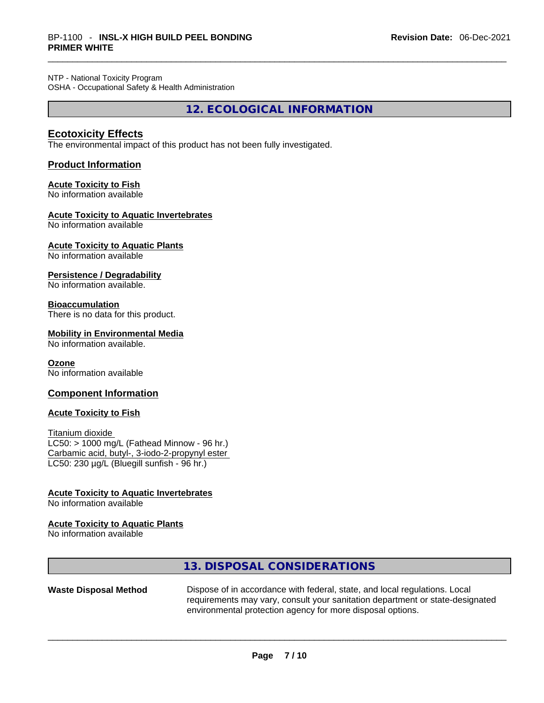NTP - National Toxicity Program OSHA - Occupational Safety & Health Administration

**12. ECOLOGICAL INFORMATION** 

#### **Ecotoxicity Effects**

The environmental impact of this product has not been fully investigated.

#### **Product Information**

#### **Acute Toxicity to Fish**

No information available

#### **Acute Toxicity to Aquatic Invertebrates**

No information available

**Acute Toxicity to Aquatic Plants**

No information available

#### **Persistence / Degradability**

No information available.

#### **Bioaccumulation**

There is no data for this product.

#### **Mobility in Environmental Media**

No information available.

#### **Ozone**

No information available

#### **Component Information**

#### **Acute Toxicity to Fish**

Titanium dioxide  $LC50:$  > 1000 mg/L (Fathead Minnow - 96 hr.) Carbamic acid, butyl-, 3-iodo-2-propynyl ester LC50: 230 µg/L (Bluegill sunfish - 96 hr.)

#### **Acute Toxicity to Aquatic Invertebrates**

No information available

#### **Acute Toxicity to Aquatic Plants**

No information available

# **13. DISPOSAL CONSIDERATIONS**

**Waste Disposal Method** Dispose of in accordance with federal, state, and local regulations. Local requirements may vary, consult your sanitation department or state-designated environmental protection agency for more disposal options.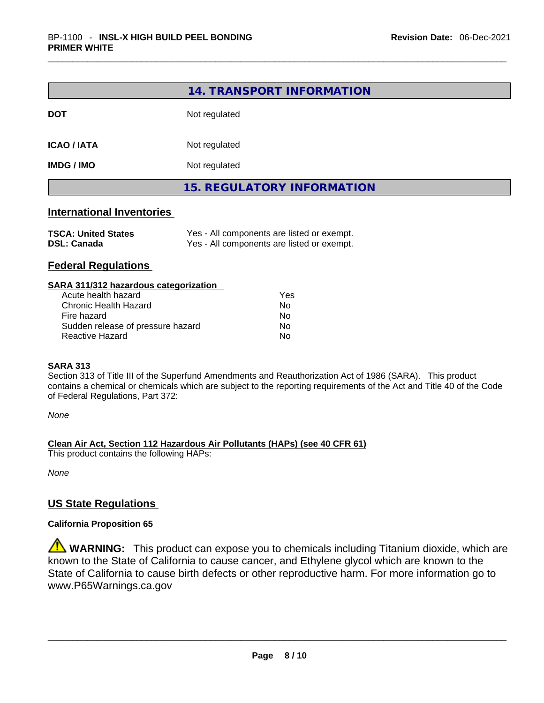|                                                  | 14. TRANSPORT INFORMATION                                                                |  |
|--------------------------------------------------|------------------------------------------------------------------------------------------|--|
| <b>DOT</b>                                       | Not regulated                                                                            |  |
| <b>ICAO / IATA</b>                               | Not regulated                                                                            |  |
| <b>IMDG / IMO</b>                                | Not regulated                                                                            |  |
|                                                  | <b>15. REGULATORY INFORMATION</b>                                                        |  |
| <b>International Inventories</b>                 |                                                                                          |  |
| <b>TSCA: United States</b><br><b>DSL: Canada</b> | Yes - All components are listed or exempt.<br>Yes - All components are listed or exempt. |  |
| _                                                |                                                                                          |  |

### **Federal Regulations**

| SARA 311/312 hazardous categorization |     |  |
|---------------------------------------|-----|--|
| Acute health hazard                   | Yes |  |
| Chronic Health Hazard                 | No  |  |
| Fire hazard                           | No  |  |
| Sudden release of pressure hazard     | No  |  |
| Reactive Hazard                       | No  |  |
|                                       |     |  |

#### **SARA 313**

Section 313 of Title III of the Superfund Amendments and Reauthorization Act of 1986 (SARA). This product contains a chemical or chemicals which are subject to the reporting requirements of the Act and Title 40 of the Code of Federal Regulations, Part 372:

*None*

**Clean Air Act,Section 112 Hazardous Air Pollutants (HAPs) (see 40 CFR 61)**

This product contains the following HAPs:

*None*

#### **US State Regulations**

#### **California Proposition 65**

**WARNING:** This product can expose you to chemicals including Titanium dioxide, which are known to the State of California to cause cancer, and Ethylene glycol which are known to the State of California to cause birth defects or other reproductive harm. For more information go to www.P65Warnings.ca.gov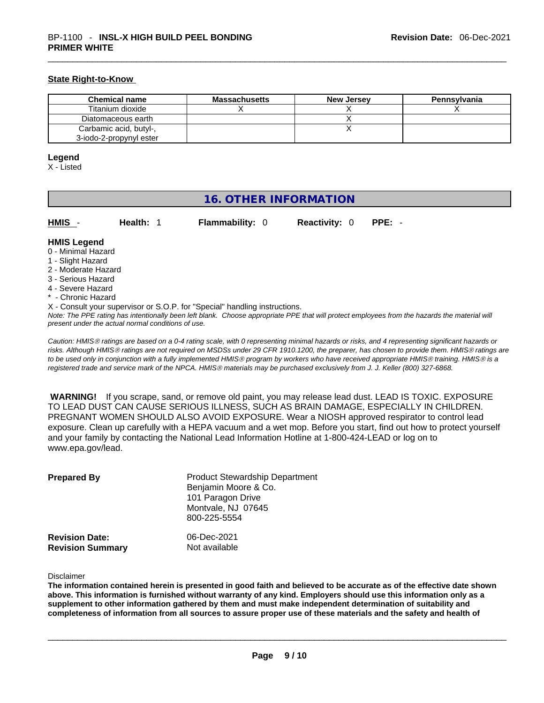#### **State Right-to-Know**

| <b>Chemical name</b>    | Massachusetts | <b>New Jersey</b> | Pennsylvania |
|-------------------------|---------------|-------------------|--------------|
| Titanium dioxide        |               |                   |              |
| Diatomaceous earth      |               |                   |              |
| Carbamic acid, butyl-,  |               |                   |              |
| 3-iodo-2-propynyl ester |               |                   |              |

#### **Legend**

X - Listed

# **16. OTHER INFORMATION**

| HMIS - | Health: 1 | <b>Flammability: 0</b> | <b>Reactivity: 0 PPE: -</b> |  |
|--------|-----------|------------------------|-----------------------------|--|
|        |           |                        |                             |  |

#### **HMIS Legend**

- 0 Minimal Hazard
- 1 Slight Hazard
- 2 Moderate Hazard
- 3 Serious Hazard
- 4 Severe Hazard
- \* Chronic Hazard
- X Consult your supervisor or S.O.P. for "Special" handling instructions.

Note: The PPE rating has intentionally been left blank. Choose appropriate PPE that will protect employees from the hazards the material will *present under the actual normal conditions of use.* 

*Caution: HMISÒ ratings are based on a 0-4 rating scale, with 0 representing minimal hazards or risks, and 4 representing significant hazards or risks. Although HMISÒ ratings are not required on MSDSs under 29 CFR 1910.1200, the preparer, has chosen to provide them. HMISÒ ratings are to be used only in conjunction with a fully implemented HMISÒ program by workers who have received appropriate HMISÒ training. HMISÒ is a registered trade and service mark of the NPCA. HMISÒ materials may be purchased exclusively from J. J. Keller (800) 327-6868.* 

 **WARNING!** If you scrape, sand, or remove old paint, you may release lead dust. LEAD IS TOXIC. EXPOSURE TO LEAD DUST CAN CAUSE SERIOUS ILLNESS, SUCH AS BRAIN DAMAGE, ESPECIALLY IN CHILDREN. PREGNANT WOMEN SHOULD ALSO AVOID EXPOSURE.Wear a NIOSH approved respirator to control lead exposure. Clean up carefully with a HEPA vacuum and a wet mop. Before you start, find out how to protect yourself and your family by contacting the National Lead Information Hotline at 1-800-424-LEAD or log on to www.epa.gov/lead.

| <b>Prepared By</b>                               | <b>Product Stewardship Department</b><br>Benjamin Moore & Co.<br>101 Paragon Drive<br>Montvale, NJ 07645<br>800-225-5554 |  |
|--------------------------------------------------|--------------------------------------------------------------------------------------------------------------------------|--|
| <b>Revision Date:</b><br><b>Revision Summary</b> | 06-Dec-2021<br>Not available                                                                                             |  |

Disclaimer

The information contained herein is presented in good faith and believed to be accurate as of the effective date shown above. This information is furnished without warranty of any kind. Employers should use this information only as a **supplement to other information gathered by them and must make independent determination of suitability and** completeness of information from all sources to assure proper use of these materials and the safety and health of